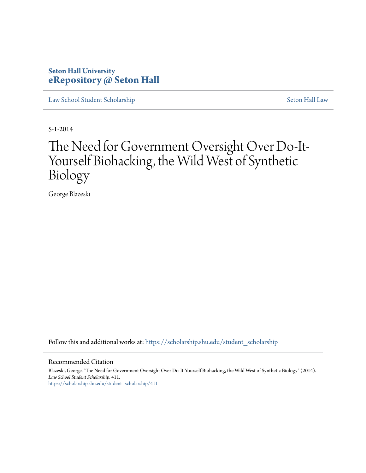# **Seton Hall University [eRepository @ Seton Hall](https://scholarship.shu.edu?utm_source=scholarship.shu.edu%2Fstudent_scholarship%2F411&utm_medium=PDF&utm_campaign=PDFCoverPages)**

[Law School Student Scholarship](https://scholarship.shu.edu/student_scholarship?utm_source=scholarship.shu.edu%2Fstudent_scholarship%2F411&utm_medium=PDF&utm_campaign=PDFCoverPages) [Seton Hall Law](https://scholarship.shu.edu/law?utm_source=scholarship.shu.edu%2Fstudent_scholarship%2F411&utm_medium=PDF&utm_campaign=PDFCoverPages)

5-1-2014

# The Need for Government Oversight Over Do-It-Yourself Biohacking, the Wild West of Synthetic Biology

George Blazeski

Follow this and additional works at: [https://scholarship.shu.edu/student\\_scholarship](https://scholarship.shu.edu/student_scholarship?utm_source=scholarship.shu.edu%2Fstudent_scholarship%2F411&utm_medium=PDF&utm_campaign=PDFCoverPages)

#### Recommended Citation

Blazeski, George, "The Need for Government Oversight Over Do-It-Yourself Biohacking, the Wild West of Synthetic Biology" (2014). *Law School Student Scholarship*. 411. [https://scholarship.shu.edu/student\\_scholarship/411](https://scholarship.shu.edu/student_scholarship/411?utm_source=scholarship.shu.edu%2Fstudent_scholarship%2F411&utm_medium=PDF&utm_campaign=PDFCoverPages)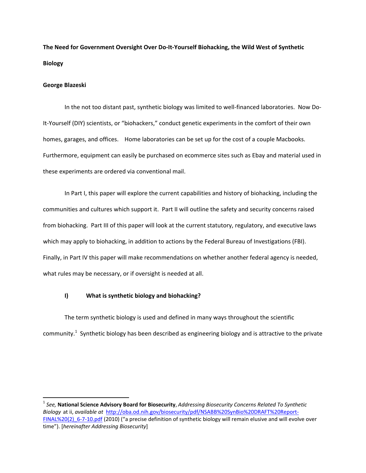**The Need for Government Oversight Over Do-It-Yourself Biohacking, the Wild West of Synthetic Biology**

#### **George Blazeski**

 $\overline{a}$ 

In the not too distant past, synthetic biology was limited to well-financed laboratories. Now Do-It-Yourself (DIY) scientists, or "biohackers," conduct genetic experiments in the comfort of their own homes, garages, and offices. Home laboratories can be set up for the cost of a couple Macbooks. Furthermore, equipment can easily be purchased on ecommerce sites such as Ebay and material used in these experiments are ordered via conventional mail.

In Part I, this paper will explore the current capabilities and history of biohacking, including the communities and cultures which support it. Part II will outline the safety and security concerns raised from biohacking. Part III of this paper will look at the current statutory, regulatory, and executive laws which may apply to biohacking, in addition to actions by the Federal Bureau of Investigations (FBI). Finally, in Part IV this paper will make recommendations on whether another federal agency is needed, what rules may be necessary, or if oversight is needed at all.

# **I) What is synthetic biology and biohacking?**

The term synthetic biology is used and defined in many ways throughout the scientific community.<sup>1</sup> Synthetic biology has been described as engineering biology and is attractive to the private

<sup>1</sup> *See,* **National Science Advisory Board for Biosecurity**, *Addressing Biosecurity Concerns Related To Synthetic Biology* at ii, *available at* [http://oba.od.nih.gov/biosecurity/pdf/NSABB%20SynBio%20DRAFT%20Report-](http://oba.od.nih.gov/biosecurity/pdf/NSABB%20SynBio%20DRAFT%20Report-FINAL%20(2)_6-7-10.pdf)FINAL%20(2) 6-7-10.pdf (2010) ("a precise definition of synthetic biology will remain elusive and will evolve over time"). [*hereinafter Addressing Biosecurity*]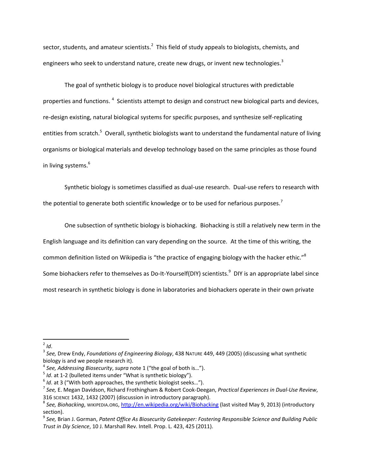sector, students, and amateur scientists.<sup>2</sup> This field of study appeals to biologists, chemists, and engineers who seek to understand nature, create new drugs, or invent new technologies.<sup>3</sup>

The goal of synthetic biology is to produce novel biological structures with predictable properties and functions. <sup>4</sup> Scientists attempt to design and construct new biological parts and devices, re-design existing, natural biological systems for specific purposes, and synthesize self-replicating entities from scratch.<sup>5</sup> Overall, synthetic biologists want to understand the fundamental nature of living organisms or biological materials and develop technology based on the same principles as those found in living systems.<sup>6</sup>

Synthetic biology is sometimes classified as dual-use research. Dual-use refers to research with the potential to generate both scientific knowledge or to be used for nefarious purposes.<sup>7</sup>

One subsection of synthetic biology is biohacking. Biohacking is still a relatively new term in the English language and its definition can vary depending on the source. At the time of this writing, the common definition listed on Wikipedia is "the practice of engaging biology with the hacker ethic."<sup>8</sup> Some biohackers refer to themselves as Do-It-Yourself(DIY) scientists.<sup>9</sup> DIY is an appropriate label since most research in synthetic biology is done in laboratories and biohackers operate in their own private

 2 *Id*.

<sup>3</sup> *See,* Drew Endy, *Foundations of Engineering Biology*, 438 NATURE 449, 449 (2005) (discussing what synthetic biology is and we people research it).

<sup>4</sup> *See, Addressing Biosecurity*, *supra* note 1 ("the goal of both is…").

<sup>5</sup> *Id*. at 1-2 (bulleted items under "What is synthetic biology").

<sup>6</sup> *Id*. at 3 ("With both approaches, the synthetic biologist seeks…").

<sup>7</sup> *See,* E. Megan Davidson, Richard Frothingham & Robert Cook-Deegan, *Practical Experiences in Dual-Use Review*, 316 SCIENCE 1432, 1432 (2007) (discussion in introductory paragraph).

<sup>&</sup>lt;sup>8</sup> See, Biohacking, wIKIPEDIA.ORG, <u>http://en.wikipedia.org/wiki/Biohacking</u> (last visited May 9, 2013) (introductory section).

<sup>9</sup> *See,* Brian J. Gorman, *Patent Office As Biosecurity Gatekeeper: Fostering Responsible Science and Building Public Trust in Diy Science*, 10 J. Marshall Rev. Intell. Prop. L. 423, 425 (2011).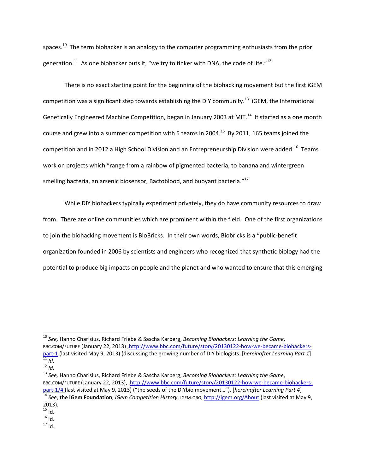spaces.<sup>10</sup> The term biohacker is an analogy to the computer programming enthusiasts from the prior generation.<sup>11</sup> As one biohacker puts it, "we try to tinker with DNA, the code of life."<sup>12</sup>

There is no exact starting point for the beginning of the biohacking movement but the first iGEM competition was a significant step towards establishing the DIY community.<sup>13</sup> iGEM, the International Genetically Engineered Machine Competition, began in January 2003 at MIT.<sup>14</sup> It started as a one month course and grew into a summer competition with 5 teams in 2004.<sup>15</sup> By 2011, 165 teams joined the competition and in 2012 a High School Division and an Entrepreneurship Division were added.<sup>16</sup> Teams work on projects which "range from a rainbow of pigmented bacteria, to banana and wintergreen smelling bacteria, an arsenic biosensor, Bactoblood, and buoyant bacteria."<sup>17</sup>

While DIY biohackers typically experiment privately, they do have community resources to draw from. There are online communities which are prominent within the field. One of the first organizations to join the biohacking movement is BioBricks. In their own words, Biobricks is a "public-benefit organization founded in 2006 by scientists and engineers who recognized that synthetic biology had the potential to produce big impacts on people and the planet and who wanted to ensure that this emerging

l

 $17$  Id.

<sup>10</sup> *See,* Hanno Charisius, Richard Friebe & Sascha Karberg, *Becoming Biohackers: Learning the Game*, BBC.COM/FUTURE (January 22, 2013) [,http://www.bbc.com/future/story/20130122-how-we-became-biohackers](http://www.bbc.com/future/story/20130122-how-we-became-biohackers-part-1)[part-1](http://www.bbc.com/future/story/20130122-how-we-became-biohackers-part-1) (last visited May 9, 2013) (discussing the growing number of DIY biologists. [*hereinafter Learning Part 1*] <sup>11</sup> *Id*.

 $12$  *[Id.](http://www.bbc.com/future/story/20130122-how-we-became-biohackers-part-1)* 

<sup>13</sup> *See,* Hanno Charisius, Richard Friebe & Sascha Karberg, *Becoming Biohackers: Learning the Game*, BBC.COM/FUTURE (January 22, 2013), [http://www.bbc.com/future/story/20130122-how-we-became-biohackers](http://www.bbc.com/future/story/20130122-how-we-became-biohackers-part-1/4)[part-1/4](http://www.bbc.com/future/story/20130122-how-we-became-biohackers-part-1/4) (last visited at May 9, 2013) ("the seeds of the DIYbio movement…"). [*hereinafter Learning Part 4*] <sup>14</sup> *See*, **the iGem Foundation**, *iGem Competition History*, IGEM.ORG[, http://igem.org/About](http://igem.org/About) (last visited at May 9, 2013).

 $15$  Id.

 $^{16}$ ld.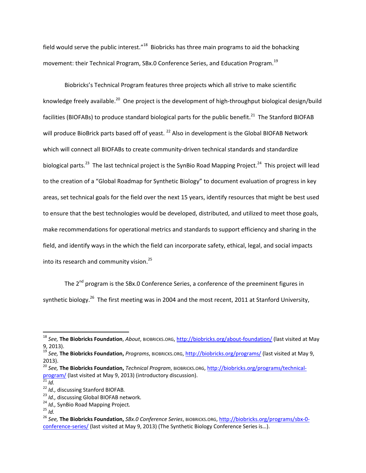field would serve the public interest."<sup>18</sup> Biobricks has three main programs to aid the bohacking movement: their Technical Program, SBx.0 Conference Series, and Education Program.<sup>19</sup>

Biobricks's Technical Program features three projects which all strive to make scientific knowledge freely available.<sup>20</sup> One project is the development of high-throughput biological design/build facilities (BIOFABs) to produce standard biological parts for the public benefit.<sup>21</sup> The Stanford BIOFAB will produce BioBrick parts based off of yeast.<sup>22</sup> Also in development is the Global BIOFAB Network which will connect all BIOFABs to create community-driven technical standards and standardize biological parts.<sup>23</sup> The last technical project is the SynBio Road Mapping Project.<sup>24</sup> This project will lead to the creation of a "Global Roadmap for Synthetic Biology" to document evaluation of progress in key areas, set technical goals for the field over the next 15 years, identify resources that might be best used to ensure that the best technologies would be developed, distributed, and utilized to meet those goals, make recommendations for operational metrics and standards to support efficiency and sharing in the field, and identify ways in the which the field can incorporate safety, ethical, legal, and social impacts into its research and community vision.<sup>25</sup>

The 2<sup>nd</sup> program is the SBx.0 Conference Series, a conference of the preeminent figures in synthetic biology.<sup>26</sup> The first meeting was in 2004 and the most recent, 2011 at Stanford University,

l

<sup>18</sup> *See,* **The Biobricks Foundation**, *About*, BIOBRICKS.ORG[, http://biobricks.org/about-foundation/](http://biobricks.org/about-foundation/) (last visited at May 9, 2013).

<sup>19</sup> *See,* **The Biobricks Foundation,** *Programs*, BIOBRICKS.ORG,<http://biobricks.org/programs/> (last visited at May 9, 2013).

<sup>20</sup> *See,* **The Biobricks Foundation,** *Technical Program*, BIOBRICKS.ORG[, http://biobricks.org/programs/technical](http://biobricks.org/programs/technical-program/)[program/](http://biobricks.org/programs/technical-program/) (last visited at May 9, 2013) (introductory discussion).

<sup>21</sup> *Id.*

<sup>22</sup> *Id.,* discussing Stanford BIOFAB*.*

<sup>23</sup> *Id.,* discussing Global BIOFAB network*.*

<sup>24</sup> *Id.,* SynBio Road Mapping Project*.*

<sup>25</sup> *Id.*

<sup>26</sup> *See,* **The Biobricks Foundation,** *SBx.0 Conference Series*, BIOBRICKS.ORG[, http://biobricks.org/programs/sbx-0](http://biobricks.org/programs/sbx-0-conference-series/) [conference-series/](http://biobricks.org/programs/sbx-0-conference-series/) (last visited at May 9, 2013) (The Synthetic Biology Conference Series is…).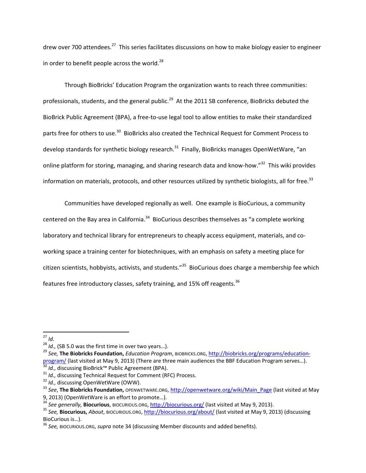drew over 700 attendees.<sup>27</sup> This series facilitates discussions on how to make biology easier to engineer in order to benefit people across the world. $^{28}$ 

Through BioBricks' Education Program the organization wants to reach three communities: professionals, students, and the general public.<sup>29</sup> At the 2011 SB conference, BioBricks debuted the BioBrick Public Agreement (BPA), a free-to-use legal tool to allow entities to make their standardized parts free for others to use.<sup>30</sup> BioBricks also created the Technical Request for Comment Process to develop standards for synthetic biology research.<sup>31</sup> Finally, BioBricks manages OpenWetWare, "an online platform for storing, managing, and sharing research data and know-how."<sup>32</sup> This wiki provides information on materials, protocols, and other resources utilized by synthetic biologists, all for free.<sup>33</sup>

Communities have developed regionally as well. One example is BioCurious, a community centered on the Bay area in California.<sup>34</sup> BioCurious describes themselves as "a complete working laboratory and technical library for entrepreneurs to cheaply access equipment, materials, and coworking space a training center for biotechniques, with an emphasis on safety a meeting place for citizen scientists, hobbyists, activists, and students."<sup>35</sup> BioCurious does charge a membership fee which features free introductory classes, safety training, and 15% off reagents.<sup>36</sup>

l

<sup>27</sup> *Id.*

<sup>28</sup> *Id.,* (SB 5.0 was the first time in over two years…).

<sup>29</sup> *See,* **The Biobricks Foundation,** *Education Program*, BIOBRICKS.ORG, [http://biobricks.org/programs/education](http://biobricks.org/programs/education-program/)[program/](http://biobricks.org/programs/education-program/) (last visited at May 9, 2013) (There are three main audiences the BBF Education Program serves…). <sup>30</sup> *Id.,* discussing BioBrick™ Public Agreement (BPA).

<sup>31</sup> *Id.,* discussing Technical Request for Comment (RFC) Process.

<sup>&</sup>lt;sup>32</sup> *Id.*, discussing OpenWetWare (OWW).

<sup>33</sup> *See*, **The Biobricks Foundation,** OPENWETWARE.ORG, [http://openwetware.org/wiki/Main\\_Page](http://openwetware.org/wiki/Main_Page) (last visited at May 9, 2013) (OpenWetWare is an effort to promote…).

<sup>34</sup> *See generally,* **Biocurious**, BIOCURIOUS.ORG[, http://biocurious.org/](http://biocurious.org/) (last visited at May 9, 2013).

<sup>35</sup> *See,* **Biocurious,** *About*, BIOCURIOUS.ORG,<http://biocurious.org/about/> (last visited at May 9, 2013) (discussing BioCurious is…).

<sup>36</sup> *See,* BIOCURIOUS.ORG, *supra* note 34 (discussing Member discounts and added benefits).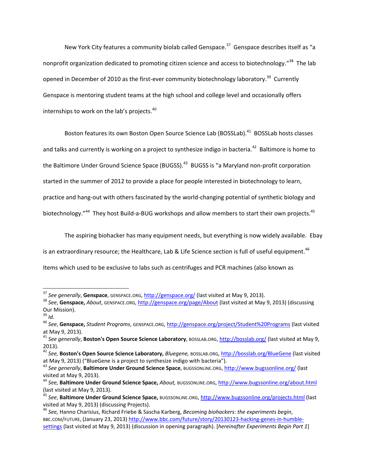New York City features a community biolab called Genspace.<sup>37</sup> Genspace describes itself as "a nonprofit organization dedicated to promoting citizen science and access to biotechnology."<sup>38</sup> The lab opened in December of 2010 as the first-ever community biotechnology laboratory.<sup>39</sup> Currently Genspace is mentoring student teams at the high school and college level and occasionally offers internships to work on the lab's projects.<sup>40</sup>

Boston features its own Boston Open Source Science Lab (BOSSLab).<sup>41</sup> BOSSLab hosts classes and talks and currently is working on a project to synthesize indigo in bacteria.<sup>42</sup> Baltimore is home to the Baltimore Under Ground Science Space (BUGSS).<sup>43</sup> BUGSS is "a Maryland non-profit corporation started in the summer of 2012 to provide a place for people interested in biotechnology to learn, practice and hang-out with others fascinated by the world-changing potential of synthetic biology and biotechnology."<sup>44</sup> They host Build-a-BUG workshops and allow members to start their own projects.<sup>45</sup>

The aspiring biohacker has many equipment needs, but everything is now widely available. Ebay

is an extraordinary resource; the Healthcare, Lab & Life Science section is full of useful equipment.<sup>46</sup>

Items which used to be exclusive to labs such as centrifuges and PCR machines (also known as

 $\overline{a}$ 

<sup>37</sup> *See generally*, **Genspace**, GENSPACE.ORG,<http://genspace.org/> (last visited at May 9, 2013).

<sup>38</sup> *See*, **Genspace,** *About*, GENSPACE.ORG,<http://genspace.org/page/About> (last visited at May 9, 2013) (discussing Our Mission).

 $39$  *Id.* 

<sup>40</sup> *See*, **Genspace,** *Student Programs*, GENSPACE.ORG,<http://genspace.org/project/Student%20Programs> (last visited at May 9, 2013).

<sup>41</sup> *See generally*, **Boston's Open Source Science Laboratory**, BOSSLAB.ORG[, http://bosslab.org/](http://bosslab.org/) (last visited at May 9, 2013).

<sup>42</sup> *See,* **Boston's Open Source Science Laboratory,** *Bluegene,* BOSSLAB.ORG,<http://bosslab.org/BlueGene> (last visited at May 9, 2013) ("BlueGene is a project to synthesize indigo with bacteria").

<sup>43</sup> *See generally*, **Baltimore Under Ground Science Space**, BUGSSONLINE.ORG[, http://www.bugssonline.org/](http://www.bugssonline.org/) (last visited at May 9, 2013).

<sup>44</sup> *See,* **Baltimore Under Ground Science Space,** *About,* BUGSSONLINE.ORG,<http://www.bugssonline.org/about.html> (last visited at May 9, 2013).

<sup>45</sup> *See*, **Baltimore Under Ground Science Space,** BUGSSONLINE.ORG,<http://www.bugssonline.org/projects.html> (last visited at May 9, 2013) (discussing Projects).

<sup>46</sup> *See,* Hanno Charisius, Richard Friebe & Sascha Karberg, *Becoming biohackers: the experiments begin*, BBC.COM/FUTURE, (January 23, 2013) [http://www.bbc.com/future/story/20130123-hacking-genes-in-humble](http://www.bbc.com/future/story/20130123-hacking-genes-in-humble-settings)[settings](http://www.bbc.com/future/story/20130123-hacking-genes-in-humble-settings) (last visited at May 9, 2013) (discussion in opening paragraph). [*hereinafter Experiments Begin Part 1*]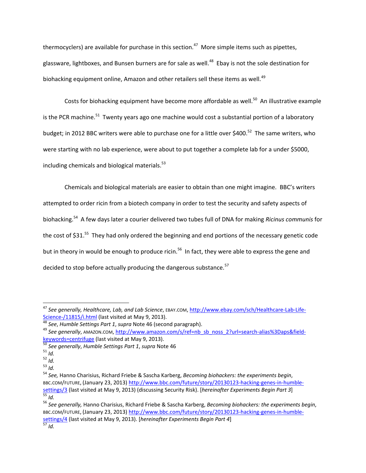thermocyclers) are available for purchase in this section.<sup>47</sup> More simple items such as pipettes, glassware, lightboxes, and Bunsen burners are for sale as well.<sup>48</sup> Ebay is not the sole destination for biohacking equipment online, Amazon and other retailers sell these items as well.<sup>49</sup>

Costs for biohacking equipment have become more affordable as well.<sup>50</sup> An illustrative example is the PCR machine.<sup>51</sup> Twenty years ago one machine would cost a substantial portion of a laboratory budget; in 2012 BBC writers were able to purchase one for a little over \$400.<sup>52</sup> The same writers, who were starting with no lab experience, were about to put together a complete lab for a under \$5000, including chemicals and biological materials. $53$ 

Chemicals and biological materials are easier to obtain than one might imagine. BBC's writers attempted to order ricin from a biotech company in order to test the security and safety aspects of biohacking.<sup>54</sup> A few days later a courier delivered two tubes full of DNA for making *Ricinus communis* for the cost of \$31.<sup>55</sup> They had only ordered the beginning and end portions of the necessary genetic code but in theory in would be enough to produce ricin.<sup>56</sup> In fact, they were able to express the gene and decided to stop before actually producing the dangerous substance.<sup>57</sup>

 $\overline{a}$ 

<sup>47</sup> *See generally, Healthcare, Lab, and Lab Science*, EBAY.COM[, http://www.ebay.com/sch/Healthcare-Lab-Life-](http://www.ebay.com/sch/Healthcare-Lab-Life-Science-/11815/i.html)[Science-/11815/i.html](http://www.ebay.com/sch/Healthcare-Lab-Life-Science-/11815/i.html) (last visited at May 9, 2013).

<sup>48</sup> *See*, *Humble Settings Part 1*, *supra* Note 46 (second paragraph).

<sup>49</sup> *See generally*, AMAZON.COM[, http://www.amazon.com/s/ref=nb\\_sb\\_noss\\_2?url=search-alias%3Daps&field](http://www.amazon.com/s/ref=nb_sb_noss_2?url=search-alias%3Daps&field-keywords=centrifuge)[keywords=centrifuge](http://www.amazon.com/s/ref=nb_sb_noss_2?url=search-alias%3Daps&field-keywords=centrifuge) (last visited at May 9, 2013).

<sup>50</sup> *See generally*, *Humble Settings Part 1*, *supra* Note 46

<sup>51</sup> *Id.*

<sup>52</sup> *Id.*

<sup>53</sup> *Id.*

<sup>54</sup> *See,* Hanno Charisius, Richard Friebe & Sascha Karberg, *Becoming biohackers: the experiments begin*, BBC.COM/FUTURE, (January 23, 2013) [http://www.bbc.com/future/story/20130123-hacking-genes-in-humble](http://www.bbc.com/future/story/20130123-hacking-genes-in-humble-settings/3)[settings/3](http://www.bbc.com/future/story/20130123-hacking-genes-in-humble-settings/3) (last visited at May 9, 2013) (discussing Security Risk). [*hereinafter Experiments Begin Part 3*]  $\overline{\frac{55}{10}}$ .

<sup>56</sup> *See generally,* Hanno Charisius, Richard Friebe & Sascha Karberg, *Becoming biohackers: the experiments begin*, BBC.COM/FUTURE, (January 23, 2013) [http://www.bbc.com/future/story/20130123-hacking-genes-in-humble](http://www.bbc.com/future/story/20130123-hacking-genes-in-humble-settings/4)[settings/4](http://www.bbc.com/future/story/20130123-hacking-genes-in-humble-settings/4) (last visited at May 9, 2013). [*hereinafter Experiments Begin Part 4*] <sup>57</sup> *Id.*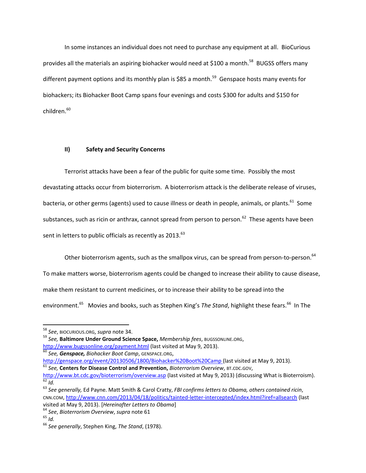In some instances an individual does not need to purchase any equipment at all. BioCurious provides all the materials an aspiring biohacker would need at \$100 a month.<sup>58</sup> BUGSS offers many different payment options and its monthly plan is \$85 a month.<sup>59</sup> Genspace hosts many events for biohackers; its Biohacker Boot Camp spans four evenings and costs \$300 for adults and \$150 for children.<sup>60</sup>

#### **II) Safety and Security Concerns**

Terrorist attacks have been a fear of the public for quite some time. Possibly the most devastating attacks occur from bioterrorism. A bioterrorism attack is the deliberate release of viruses, bacteria, or other germs (agents) used to cause illness or death in people, animals, or plants.<sup>61</sup> Some substances, such as ricin or anthrax, cannot spread from person to person.<sup>62</sup> These agents have been sent in letters to public officials as recently as  $2013.<sup>63</sup>$ 

Other bioterrorism agents, such as the smallpox virus, can be spread from person-to-person.<sup>64</sup>

To make matters worse, bioterrorism agents could be changed to increase their ability to cause disease,

make them resistant to current medicines, or to increase their ability to be spread into the

environment.<sup>65</sup> Movies and books, such as Stephen King's *The Stand*, highlight these fears.<sup>66</sup> In The

<sup>59</sup> *See,* **Baltimore Under Ground Science Space,** *Membership fees*, BUGSSONLINE.ORG, <http://www.bugssonline.org/payment.html> (last visited at May 9, 2013). <sup>60</sup> *See, Genspace, Biohacker Boot Camp*, GENSPACE.ORG,

<http://genspace.org/event/20130506/1800/Biohacker%20Boot%20Camp> (last visited at May 9, 2013).

<sup>58</sup> *See*, BIOCURIOUS.ORG, *supra* note 34.

<sup>61</sup> *See,* **Centers for Disease Control and Prevention,** *Bioterrorism Overview*, BT.CDC.GOV,

<http://www.bt.cdc.gov/bioterrorism/overview.asp> (last visited at May 9, 2013) (discussing What is Bioterroism). <sup>62</sup> *Id.*

<sup>63</sup> *See generally,* Ed Payne. Matt Smith & Carol Cratty, *FBI confirms letters to Obama, others contained ricin*, CNN.COM,<http://www.cnn.com/2013/04/18/politics/tainted-letter-intercepted/index.html?iref=allsearch> (last

visited at May 9, 2013). [*Hereinafter Letters to Obama*]

<sup>64</sup> *See*, *Bioterrorism Overview*, *supra* note 61

<sup>65</sup> *Id.*

<sup>66</sup> *See generally*, Stephen King, *The Stand*, (1978).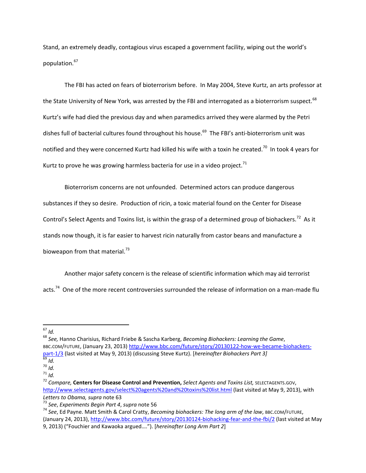Stand, an extremely deadly, contagious virus escaped a government facility, wiping out the world's population.<sup>67</sup>

The FBI has acted on fears of bioterrorism before. In May 2004, Steve Kurtz, an arts professor at the State University of New York, was arrested by the FBI and interrogated as a bioterrorism suspect.<sup>68</sup> Kurtz's wife had died the previous day and when paramedics arrived they were alarmed by the Petri dishes full of bacterial cultures found throughout his house.<sup>69</sup> The FBI's anti-bioterrorism unit was notified and they were concerned Kurtz had killed his wife with a toxin he created.<sup>70</sup> In took 4 years for Kurtz to prove he was growing harmless bacteria for use in a video project.<sup>71</sup>

Bioterrorism concerns are not unfounded. Determined actors can produce dangerous substances if they so desire. Production of ricin, a toxic material found on the Center for Disease Control's Select Agents and Toxins list, is within the grasp of a determined group of biohackers.<sup>72</sup> As it stands now though, it is far easier to harvest ricin naturally from castor beans and manufacture a bioweapon from that material. $^{73}$ 

Another major safety concern is the release of scientific information which may aid terrorist acts.<sup>74</sup> One of the more recent controversies surrounded the release of information on a man-made flu

 $\overline{\phantom{a}}$ 

<sup>68</sup> *See,* Hanno Charisius, Richard Friebe & Sascha Karberg, *Becoming Biohackers: Learning the Game*, BBC.COM/FUTURE, (January 23, 2013[\) http://www.bbc.com/future/story/20130122-how-we-became-biohackers](http://www.bbc.com/future/story/20130122-how-we-became-biohackers-part-1/3)[part-1/3](http://www.bbc.com/future/story/20130122-how-we-became-biohackers-part-1/3) (last visited at May 9, 2013) (discussing Steve Kurtz). [*hereinafter Biohackers Part 3]*

<sup>67</sup> *Id.*

<sup>69</sup> *Id.*

<sup>70</sup> *Id.*

<sup>71</sup> *Id.*

<sup>72</sup> *Compare,* **Centers for Disease Control and Prevention,** *Select Agents and Toxins List,* SELECTAGENTS.GOV, <http://www.selectagents.gov/select%20agents%20and%20toxins%20list.html> (last visited at May 9, 2013), with *Letters to Obama, supra* note 63

<sup>73</sup> *See*, *Experiments Begin Part 4*, *supra* note 56

<sup>74</sup> *See*, Ed Payne. Matt Smith & Carol Cratty, *Becoming biohackers: The long arm of the law*, BBC.COM/FUTURE, (January 24, 2013)[, http://www.bbc.com/future/story/20130124-biohacking-fear-and-the-fbi/2](http://www.bbc.com/future/story/20130124-biohacking-fear-and-the-fbi/2) (last visited at May 9, 2013) ("Fouchier and Kawaoka argued…."). [*hereinafter Long Arm Part 2*]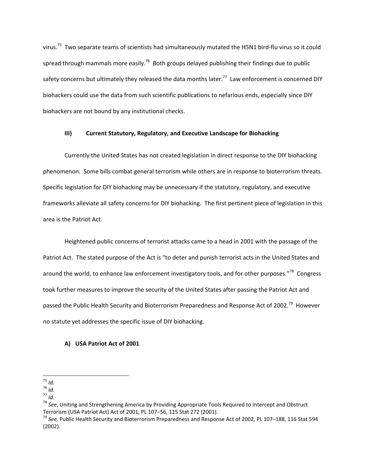virus.<sup>75</sup> Two separate teams of scientists had simultaneously mutated the H5N1 bird-flu virus so it could spread through mammals more easily.<sup>76</sup> Both groups delayed publishing their findings due to public safety concerns but ultimately they released the data months later.<sup>77</sup> Law enforcement is concerned DIY biohackers could use the data from such scientific publications to nefarious ends, especially since DIY biohackers are not bound by any institutional checks.

#### **III) Current Statutory, Regulatory, and Executive Landscape for Biohacking**

Currently the United States has not created legislation in direct response to the DIY biohacking phenomenon. Some bills combat general terrorism while others are in response to bioterrorism threats. Specific legislation for DIY biohacking may be unnecessary if the statutory, regulatory, and executive frameworks alleviate all safety concerns for DIY biohacking. The first pertinent piece of legislation in this area is the Patriot Act.

Heightened public concerns of terrorist attacks came to a head in 2001 with the passage of the Patriot Act. The stated purpose of the Act is "to deter and punish terrorist acts in the United States and around the world, to enhance law enforcement investigatory tools, and for other purposes."<sup>78</sup> Congress took further measures to improve the security of the United States after passing the Patriot Act and passed the Public Health Security and Bioterrorism Preparedness and Response Act of 2002.<sup>79</sup> However no statute yet addresses the specific issue of DIY biohacking.

#### **A) USA Patriot Act of 2001**

 $\overline{\phantom{a}}$ <sup>75</sup> *Id.*

<sup>76</sup> *Id.*

<sup>77</sup> *Id.*

<sup>78</sup> *See*, Uniting and Strengthening America by Providing Appropriate Tools Required to Intercept and Obstruct Terrorism (USA Patriot Act) Act of 2001, PL 107–56, 115 Stat 272 (2001).

<sup>79</sup> *See,* Public Health Security and Bioterrorism Preparedness and Response Act of 2002, PL 107–188, 116 Stat 594 (2002).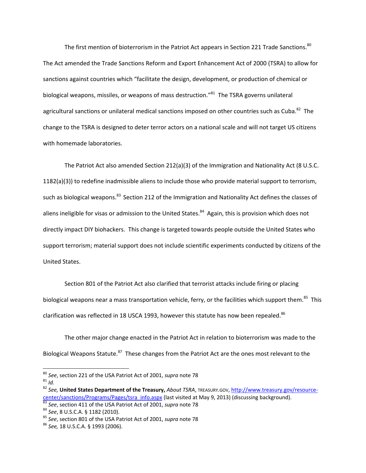The first mention of bioterrorism in the Patriot Act appears in Section 221 Trade Sanctions.<sup>80</sup> The Act amended the Trade Sanctions Reform and Export Enhancement Act of 2000 (TSRA) to allow for sanctions against countries which "facilitate the design, development, or production of chemical or biological weapons, missiles, or weapons of mass destruction."<sup>81</sup> The TSRA governs unilateral agricultural sanctions or unilateral medical sanctions imposed on other countries such as Cuba.<sup>82</sup> The change to the TSRA is designed to deter terror actors on a national scale and will not target US citizens with homemade laboratories.

The Patriot Act also amended Section 212(a)(3) of the Immigration and Nationality Act (8 U.S.C. 1182(a)(3)) to redefine inadmissible aliens to include those who provide material support to terrorism, such as biological weapons.<sup>83</sup> Section 212 of the Immigration and Nationality Act defines the classes of aliens ineligible for visas or admission to the United States.<sup>84</sup> Again, this is provision which does not directly impact DIY biohackers. This change is targeted towards people outside the United States who support terrorism; material support does not include scientific experiments conducted by citizens of the United States.

Section 801 of the Patriot Act also clarified that terrorist attacks include firing or placing biological weapons near a mass transportation vehicle, ferry, or the facilities which support them.<sup>85</sup> This clarification was reflected in 18 USCA 1993, however this statute has now been repealed.<sup>86</sup>

The other major change enacted in the Patriot Act in relation to bioterrorism was made to the Biological Weapons Statute.<sup>87</sup> These changes from the Patriot Act are the ones most relevant to the

 $\overline{a}$ 

<sup>80</sup> *See*, section 221 of the USA Patriot Act of 2001, *supra* note 78

 $81$  *Id.* 

<sup>82</sup> *See,* **United States Department of the Treasury,** *About TSRA*, TREASURY.GOV, [http://www.treasury.gov/resource](http://www.treasury.gov/resource-center/sanctions/Programs/Pages/tsra_info.aspx)[center/sanctions/Programs/Pages/tsra\\_info.aspx](http://www.treasury.gov/resource-center/sanctions/Programs/Pages/tsra_info.aspx) (last visited at May 9, 2013) (discussing background).

<sup>83</sup> *See*, section 411 of the USA Patriot Act of 2001, *supra* note 78

<sup>84</sup> *See*, 8 U.S.C.A. § 1182 (2010).

<sup>85</sup> *See*, section 801 of the USA Patriot Act of 2001, *supra* note 78

<sup>86</sup> *See,* 18 U.S.C.A. § 1993 (2006).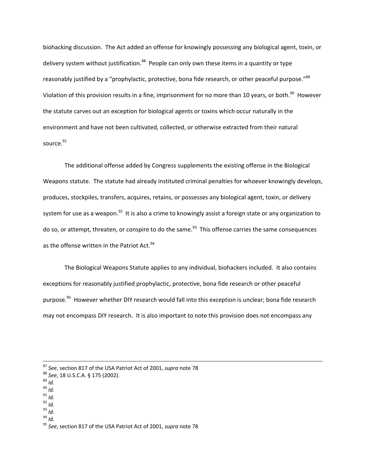biohacking discussion. The Act added an offense for knowingly possessing any biological agent, toxin, or delivery system without justification. $88$  People can only own these items in a quantity or type reasonably justified by a "prophylactic, protective, bona fide research, or other peaceful purpose."<sup>89</sup> Violation of this provision results in a fine, imprisonment for no more than 10 years, or both. $^{90}$  However the statute carves out an exception for biological agents or toxins which occur naturally in the environment and have not been cultivated, collected, or otherwise extracted from their natural source.<sup>91</sup>

The additional offense added by Congress supplements the existing offense in the Biological Weapons statute. The statute had already instituted criminal penalties for whoever knowingly develops, produces, stockpiles, transfers, acquires, retains, or possesses any biological agent, toxin, or delivery system for use as a weapon.<sup>92</sup> It is also a crime to knowingly assist a foreign state or any organization to do so, or attempt, threaten, or conspire to do the same.<sup>93</sup> This offense carries the same consequences as the offense written in the Patriot Act.<sup>94</sup>

The Biological Weapons Statute applies to any individual, biohackers included. It also contains exceptions for reasonably justified prophylactic, protective, bona fide research or other peaceful purpose.<sup>95</sup> However whether DIY research would fall into this exception is unclear; bona fide research may not encompass DIY research. It is also important to note this provision does not encompass any

- <sup>90</sup> *Id.*
- <sup>91</sup> *Id.*
- <sup>92</sup> *Id.*
- <sup>93</sup> *Id.*
- <sup>94</sup> *Id.*

<sup>87</sup> *See*, section 817 of the USA Patriot Act of 2001, *supra* note 78

<sup>88</sup> *See*, 18 U.S.C.A. § 175 (2002).

<sup>89</sup> *Id.*

<sup>95</sup> *See*, section 817 of the USA Patriot Act of 2001, *supra* note 78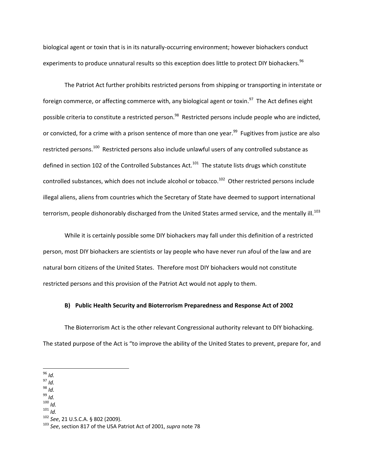biological agent or toxin that is in its naturally-occurring environment; however biohackers conduct experiments to produce unnatural results so this exception does little to protect DIY biohackers.<sup>96</sup>

The Patriot Act further prohibits restricted persons from shipping or transporting in interstate or foreign commerce, or affecting commerce with, any biological agent or toxin.<sup>97</sup> The Act defines eight possible criteria to constitute a restricted person.<sup>98</sup> Restricted persons include people who are indicted, or convicted, for a crime with a prison sentence of more than one year.<sup>99</sup> Fugitives from justice are also restricted persons.<sup>100</sup> Restricted persons also include unlawful users of any controlled substance as defined in section 102 of the Controlled Substances Act.<sup>101</sup> The statute lists drugs which constitute controlled substances, which does not include alcohol or tobacco.<sup>102</sup> Other restricted persons include illegal aliens, aliens from countries which the Secretary of State have deemed to support international terrorism, people dishonorably discharged from the United States armed service, and the mentally ill.<sup>103</sup>

While it is certainly possible some DIY biohackers may fall under this definition of a restricted person, most DIY biohackers are scientists or lay people who have never run afoul of the law and are natural born citizens of the United States. Therefore most DIY biohackers would not constitute restricted persons and this provision of the Patriot Act would not apply to them.

#### **B) Public Health Security and Bioterrorism Preparedness and Response Act of 2002**

The Bioterrorism Act is the other relevant Congressional authority relevant to DIY biohacking. The stated purpose of the Act is "to improve the ability of the United States to prevent, prepare for, and

<sup>98</sup> *Id.*

<sup>99</sup> *Id.*

<sup>100</sup> *Id.*

<sup>101</sup> *Id.*

<sup>102</sup> *See*, 21 U.S.C.A. § 802 (2009).

 $\overline{a}$ <sup>96</sup> *Id.*

<sup>97</sup> *Id.*

<sup>103</sup> *See*, section 817 of the USA Patriot Act of 2001, *supra* note 78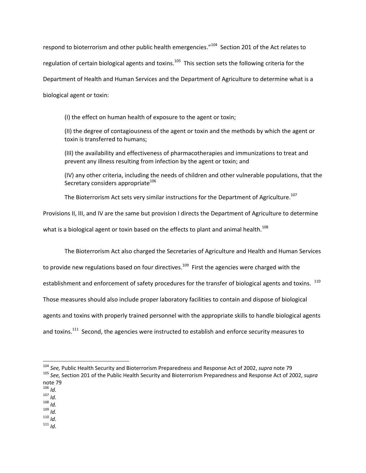respond to bioterrorism and other public health emergencies."<sup>104</sup> Section 201 of the Act relates to regulation of certain biological agents and toxins.<sup>105</sup> This section sets the following criteria for the Department of Health and Human Services and the Department of Agriculture to determine what is a biological agent or toxin:

(I) the effect on human health of exposure to the agent or toxin;

(II) the degree of contagiousness of the agent or toxin and the methods by which the agent or toxin is transferred to humans;

(III) the availability and effectiveness of pharmacotherapies and immunizations to treat and prevent any illness resulting from infection by the agent or toxin; and

(IV) any other criteria, including the needs of children and other vulnerable populations, that the Secretary considers appropriate<sup>106</sup>

The Bioterrorism Act sets very similar instructions for the Department of Agriculture.<sup>107</sup>

Provisions II, III, and IV are the same but provision I directs the Department of Agriculture to determine

what is a biological agent or toxin based on the effects to plant and animal health.<sup>108</sup>

The Bioterrorism Act also charged the Secretaries of Agriculture and Health and Human Services

to provide new regulations based on four directives.<sup>109</sup> First the agencies were charged with the

establishment and enforcement of safety procedures for the transfer of biological agents and toxins.  $^{110}$ 

Those measures should also include proper laboratory facilities to contain and dispose of biological

agents and toxins with properly trained personnel with the appropriate skills to handle biological agents

and toxins.<sup>111</sup> Second, the agencies were instructed to establish and enforce security measures to

 $106$  *Id.* 

 $\overline{\phantom{a}}$ 

- <sup>107</sup> *Id.*
- <sup>108</sup> *Id.*

<sup>109</sup> *Id.* <sup>110</sup> *Id.*

<sup>111</sup> *Id.*

<sup>104</sup> *See,* Public Health Security and Bioterrorism Preparedness and Response Act of 2002, *supra* note 79

<sup>105</sup> *See,* Section 201 of the Public Health Security and Bioterrorism Preparedness and Response Act of 2002, *supra* note 79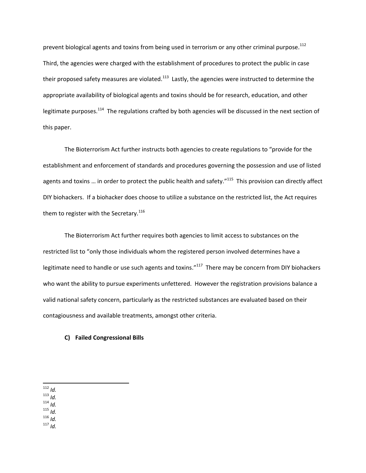prevent biological agents and toxins from being used in terrorism or any other criminal purpose.<sup>112</sup> Third, the agencies were charged with the establishment of procedures to protect the public in case their proposed safety measures are violated.<sup>113</sup> Lastly, the agencies were instructed to determine the appropriate availability of biological agents and toxins should be for research, education, and other legitimate purposes.<sup>114</sup> The regulations crafted by both agencies will be discussed in the next section of this paper.

The Bioterrorism Act further instructs both agencies to create regulations to "provide for the establishment and enforcement of standards and procedures governing the possession and use of listed agents and toxins ... in order to protect the public health and safety."<sup>115</sup> This provision can directly affect DIY biohackers. If a biohacker does choose to utilize a substance on the restricted list, the Act requires them to register with the Secretary.<sup>116</sup>

The Bioterrorism Act further requires both agencies to limit access to substances on the restricted list to "only those individuals whom the registered person involved determines have a legitimate need to handle or use such agents and toxins."<sup>117</sup> There may be concern from DIY biohackers who want the ability to pursue experiments unfettered. However the registration provisions balance a valid national safety concern, particularly as the restricted substances are evaluated based on their contagiousness and available treatments, amongst other criteria.

#### **C) Failed Congressional Bills**

<sup>114</sup> *Id.*

<sup>115</sup> *Id.*

<sup>116</sup> *Id.* <sup>117</sup> *Id.*

l <sup>112</sup> *Id.*

<sup>113</sup> *Id.*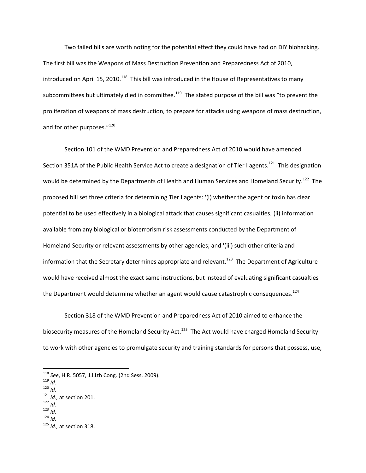Two failed bills are worth noting for the potential effect they could have had on DIY biohacking. The first bill was the Weapons of Mass Destruction Prevention and Preparedness Act of 2010, introduced on April 15, 2010.<sup>118</sup> This bill was introduced in the House of Representatives to many subcommittees but ultimately died in committee.<sup>119</sup> The stated purpose of the bill was "to prevent the proliferation of weapons of mass destruction, to prepare for attacks using weapons of mass destruction, and for other purposes."<sup>120</sup>

Section 101 of the WMD Prevention and Preparedness Act of 2010 would have amended Section 351A of the Public Health Service Act to create a designation of Tier I agents.<sup>121</sup> This designation would be determined by the Departments of Health and Human Services and Homeland Security.<sup>122</sup> The proposed bill set three criteria for determining Tier I agents: '(i) whether the agent or toxin has clear potential to be used effectively in a biological attack that causes significant casualties; (ii) information available from any biological or bioterrorism risk assessments conducted by the Department of Homeland Security or relevant assessments by other agencies; and '(iii) such other criteria and information that the Secretary determines appropriate and relevant.<sup>123</sup> The Department of Agriculture would have received almost the exact same instructions, but instead of evaluating significant casualties the Department would determine whether an agent would cause catastrophic consequences.<sup>124</sup>

Section 318 of the WMD Prevention and Preparedness Act of 2010 aimed to enhance the biosecurity measures of the Homeland Security Act.<sup>125</sup> The Act would have charged Homeland Security to work with other agencies to promulgate security and training standards for persons that possess, use,

<sup>119</sup> *Id.*

 $\overline{a}$ 

<sup>120</sup> *Id.*

- <sup>122</sup> *Id.*
- <sup>123</sup> *Id.*
- <sup>124</sup> *Id.*

<sup>125</sup> *Id.,* at section 318.

<sup>118</sup> *See*, H.R. 5057, 111th Cong. (2nd Sess. 2009).

<sup>121</sup> *Id.,* at section 201.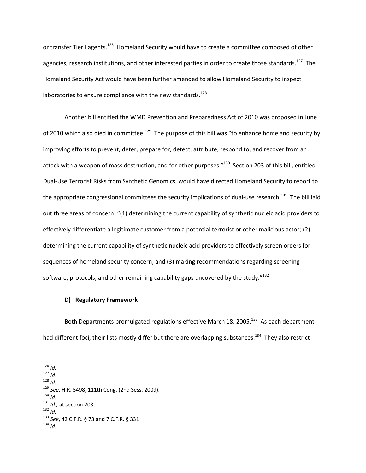or transfer Tier I agents.<sup>126</sup> Homeland Security would have to create a committee composed of other agencies, research institutions, and other interested parties in order to create those standards.<sup>127</sup> The Homeland Security Act would have been further amended to allow Homeland Security to inspect laboratories to ensure compliance with the new standards. $128$ 

Another bill entitled the WMD Prevention and Preparedness Act of 2010 was proposed in June of 2010 which also died in committee.<sup>129</sup> The purpose of this bill was "to enhance homeland security by improving efforts to prevent, deter, prepare for, detect, attribute, respond to, and recover from an attack with a weapon of mass destruction, and for other purposes."<sup>130</sup> Section 203 of this bill, entitled Dual-Use Terrorist Risks from Synthetic Genomics, would have directed Homeland Security to report to the appropriate congressional committees the security implications of dual-use research.<sup>131</sup> The bill laid out three areas of concern: "(1) determining the current capability of synthetic nucleic acid providers to effectively differentiate a legitimate customer from a potential terrorist or other malicious actor; (2) determining the current capability of synthetic nucleic acid providers to effectively screen orders for sequences of homeland security concern; and (3) making recommendations regarding screening software, protocols, and other remaining capability gaps uncovered by the study." $^{132}$ 

#### **D) Regulatory Framework**

Both Departments promulgated regulations effective March 18, 2005.<sup>133</sup> As each department had different foci, their lists mostly differ but there are overlapping substances.<sup>134</sup> They also restrict

 $\overline{\phantom{a}}$ 

<sup>130</sup> *Id.*

<sup>126</sup> *Id.*

<sup>127</sup> *Id.* <sup>128</sup> *Id.*

<sup>129</sup> *See*, H.R. 5498, 111th Cong. (2nd Sess. 2009).

<sup>131</sup> *Id.,* at section 203

<sup>132</sup> *Id.*

<sup>133</sup> *See*, 42 C.F.R. § 73 and 7 C.F.R. § 331

 $134$  *Id.*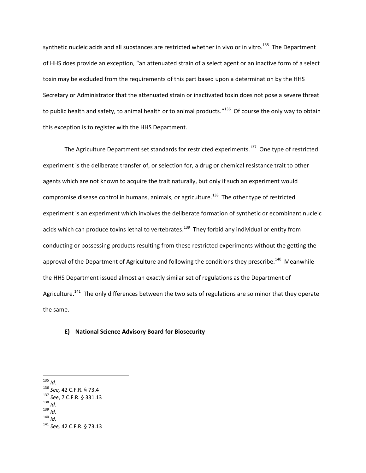synthetic nucleic acids and all substances are restricted whether in vivo or in vitro.<sup>135</sup> The Department of HHS does provide an exception, "an attenuated strain of a select agent or an inactive form of a select toxin may be excluded from the requirements of this part based upon a determination by the HHS Secretary or Administrator that the attenuated strain or inactivated toxin does not pose a severe threat to public health and safety, to animal health or to animal products."<sup>136</sup> Of course the only way to obtain this exception is to register with the HHS Department.

The Agriculture Department set standards for restricted experiments.<sup>137</sup> One type of restricted experiment is the deliberate transfer of, or selection for, a drug or chemical resistance trait to other agents which are not known to acquire the trait naturally, but only if such an experiment would compromise disease control in humans, animals, or agriculture.<sup>138</sup> The other type of restricted experiment is an experiment which involves the deliberate formation of synthetic or ecombinant nucleic acids which can produce toxins lethal to vertebrates.<sup>139</sup> They forbid any individual or entity from conducting or possessing products resulting from these restricted experiments without the getting the approval of the Department of Agriculture and following the conditions they prescribe.<sup>140</sup> Meanwhile the HHS Department issued almost an exactly similar set of regulations as the Department of Agriculture.<sup>141</sup> The only differences between the two sets of regulations are so minor that they operate the same.

# **E) National Science Advisory Board for Biosecurity**

<sup>135</sup> *Id.*

<sup>136</sup> *See,* 42 C.F.R. § 73.4

<sup>137</sup> *See*, 7 C.F.R. § 331.13

<sup>138</sup> *Id.*

<sup>139</sup> *Id.*

<sup>140</sup> *Id.*

<sup>141</sup> *See,* 42 C.F.R. § 73.13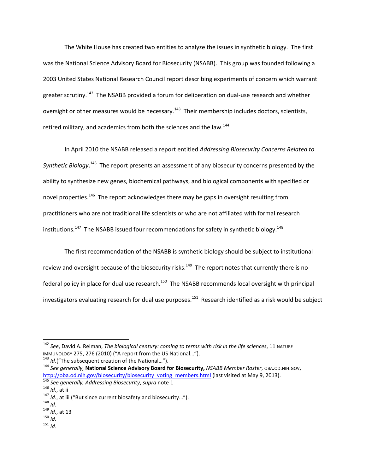The White House has created two entities to analyze the issues in synthetic biology. The first was the National Science Advisory Board for Biosecurity (NSABB). This group was founded following a 2003 United States National Research Council report describing experiments of concern which warrant greater scrutiny.<sup>142</sup> The NSABB provided a forum for deliberation on dual-use research and whether oversight or other measures would be necessary.<sup>143</sup> Their membership includes doctors, scientists, retired military, and academics from both the sciences and the law.<sup>144</sup>

In April 2010 the NSABB released a report entitled *Addressing Biosecurity Concerns Related to*  Synthetic Biology.<sup>145</sup> The report presents an assessment of any biosecurity concerns presented by the ability to synthesize new genes, biochemical pathways, and biological components with specified or novel properties.<sup>146</sup> The report acknowledges there may be gaps in oversight resulting from practitioners who are not traditional life scientists or who are not affiliated with formal research institutions.<sup>147</sup> The NSABB issued four recommendations for safety in synthetic biology.<sup>148</sup>

The first recommendation of the NSABB is synthetic biology should be subject to institutional review and oversight because of the biosecurity risks.<sup>149</sup> The report notes that currently there is no federal policy in place for dual use research.<sup>150</sup> The NSABB recommends local oversight with principal investigators evaluating research for dual use purposes.<sup>151</sup> Research identified as a risk would be subject

 $\overline{\phantom{a}}$ 

 $151$  *Id.* 

<sup>142</sup> *See*, David A. Relman, *The biological century: coming to terms with risk in the life sciences*, 11 NATURE IMMUNOLOGY 275, 276 (2010) ("A report from the US National…").

<sup>&</sup>lt;sup>143</sup> *Id.*("The subsequent creation of the National...").

<sup>144</sup> *See generally,* **National Science Advisory Board for Biosecurity,** *NSABB Member Roster*, OBA.OD.NIH.GOV, [http://oba.od.nih.gov/biosecurity/biosecurity\\_voting\\_members.html](http://oba.od.nih.gov/biosecurity/biosecurity_voting_members.html) (last visited at May 9, 2013).

<sup>145</sup> *See generally, Addressing Biosecurity*, *supra* note 1

<sup>146</sup> *Id.*, at ii

<sup>147</sup> *Id.*, at iii ("But since current biosafety and biosecurity…").

<sup>148</sup> *Id.*

<sup>149</sup> *Id.*, at 13

<sup>150</sup> *Id.*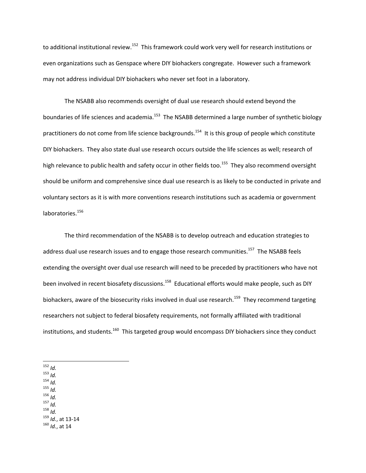to additional institutional review.<sup>152</sup> This framework could work very well for research institutions or even organizations such as Genspace where DIY biohackers congregate. However such a framework may not address individual DIY biohackers who never set foot in a laboratory.

The NSABB also recommends oversight of dual use research should extend beyond the boundaries of life sciences and academia.<sup>153</sup> The NSABB determined a large number of synthetic biology practitioners do not come from life science backgrounds.<sup>154</sup> It is this group of people which constitute DIY biohackers. They also state dual use research occurs outside the life sciences as well; research of high relevance to public health and safety occur in other fields too.<sup>155</sup> They also recommend oversight should be uniform and comprehensive since dual use research is as likely to be conducted in private and voluntary sectors as it is with more conventions research institutions such as academia or government laboratories.<sup>156</sup>

The third recommendation of the NSABB is to develop outreach and education strategies to address dual use research issues and to engage those research communities.<sup>157</sup> The NSABB feels extending the oversight over dual use research will need to be preceded by practitioners who have not been involved in recent biosafety discussions.<sup>158</sup> Educational efforts would make people, such as DIY biohackers, aware of the biosecurity risks involved in dual use research.<sup>159</sup> They recommend targeting researchers not subject to federal biosafety requirements, not formally affiliated with traditional institutions, and students.<sup>160</sup> This targeted group would encompass DIY biohackers since they conduct

 $\overline{\phantom{a}}$  $152$  *Id.* 

<sup>153</sup> *Id.*

<sup>154</sup> *Id.*

<sup>155</sup> *Id.*

<sup>156</sup> *Id.*

<sup>157</sup> *Id.*

<sup>158</sup> *Id.*

<sup>159</sup> *Id.*, at 13-14

<sup>160</sup> *Id.*, at 14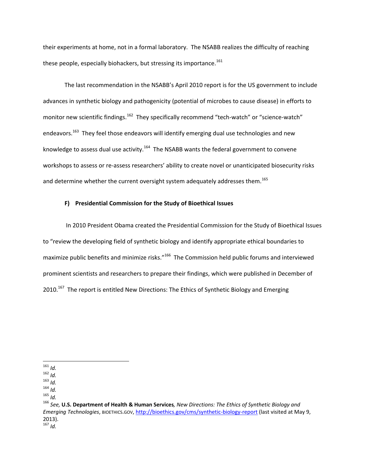their experiments at home, not in a formal laboratory. The NSABB realizes the difficulty of reaching these people, especially biohackers, but stressing its importance. $161$ 

The last recommendation in the NSABB's April 2010 report is for the US government to include advances in synthetic biology and pathogenicity (potential of microbes to cause disease) in efforts to monitor new scientific findings.<sup>162</sup> They specifically recommend "tech-watch" or "science-watch" endeavors.<sup>163</sup> They feel those endeavors will identify emerging dual use technologies and new knowledge to assess dual use activity.<sup>164</sup> The NSABB wants the federal government to convene workshops to assess or re-assess researchers' ability to create novel or unanticipated biosecurity risks and determine whether the current oversight system adequately addresses them.<sup>165</sup>

#### **F) Presidential Commission for the Study of Bioethical Issues**

In 2010 President Obama created the Presidential Commission for the Study of Bioethical Issues to "review the developing field of synthetic biology and identify appropriate ethical boundaries to maximize public benefits and minimize risks."<sup>166</sup> The Commission held public forums and interviewed prominent scientists and researchers to prepare their findings, which were published in December of 2010.<sup>167</sup> The report is entitled New Directions: The Ethics of Synthetic Biology and Emerging

<sup>161</sup> *Id.*

<sup>162</sup> *Id.*

<sup>163</sup> *Id.*

<sup>164</sup> *Id.*

<sup>165</sup> *Id.*

<sup>166</sup> *See,* **U.S. Department of Health & Human Services***, New Directions: The Ethics of Synthetic Biology and Emerging Technologies*, BIOETHICS.GOV,<http://bioethics.gov/cms/synthetic-biology-report> (last visited at May 9, 2013).  $167$  *Id*.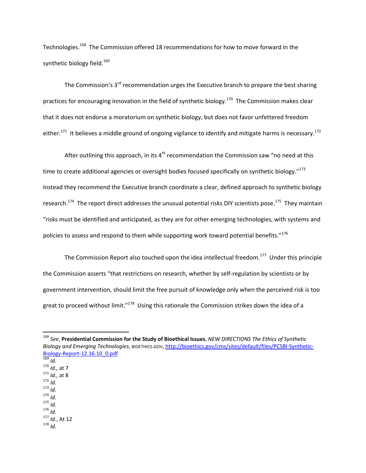Technologies.<sup>168</sup> The Commission offered 18 recommendations for how to move forward in the synthetic biology field.<sup>169</sup>

The Commission's  $3<sup>rd</sup>$  recommendation urges the Executive branch to prepare the best sharing practices for encouraging innovation in the field of synthetic biology.<sup>170</sup> The Commission makes clear that it does not endorse a moratorium on synthetic biology, but does not favor unfettered freedom either.<sup>171</sup> It believes a middle ground of ongoing vigilance to identify and mitigate harms is necessary.<sup>172</sup>

After outlining this approach, in its  $4<sup>th</sup>$  recommendation the Commission saw "no need at this time to create additional agencies or oversight bodies focused specifically on synthetic biology."<sup>173</sup> Instead they recommend the Executive branch coordinate a clear, defined approach to synthetic biology research.<sup>174</sup> The report direct addresses the unusual potential risks DIY scientists pose.<sup>175</sup> They maintain "risks must be identified and anticipated, as they are for other emerging technologies, with systems and policies to assess and respond to them while supporting work toward potential benefits." $^{176}$ 

The Commission Report also touched upon the idea intellectual freedom.<sup>177</sup> Under this principle the Commission asserts "that restrictions on research, whether by self-regulation by scientists or by government intervention, should limit the free pursuit of knowledge only when the perceived risk is too great to proceed without limit."<sup>178</sup> Using this rationale the Commission strikes down the idea of a

l

- <sup>170</sup> *Id.,* at 7 <sup>171</sup> *Id.,* at 8
- <sup>172</sup> *Id.*
- <sup>173</sup> *Id.*
- <sup>174</sup> *Id.*
- <sup>175</sup> *Id.*
- <sup>176</sup> *Id.*

<sup>177</sup> *Id.*, At 12

<sup>168</sup> *See*, **Presidential Commission for the Study of Bioethical Issues**, *NEW DIRECTIONS The Ethics of Synthetic Biology and Emerging Technologies*, BIOETHICS.GOV, [http://bioethics.gov/cms/sites/default/files/PCSBI-Synthetic-](http://bioethics.gov/cms/sites/default/files/PCSBI-Synthetic-Biology-Report-12.16.10_0.pdf)[Biology-Report-12.16.10\\_0.pdf](http://bioethics.gov/cms/sites/default/files/PCSBI-Synthetic-Biology-Report-12.16.10_0.pdf)

<sup>169</sup> *Id.*

<sup>178</sup> *Id.*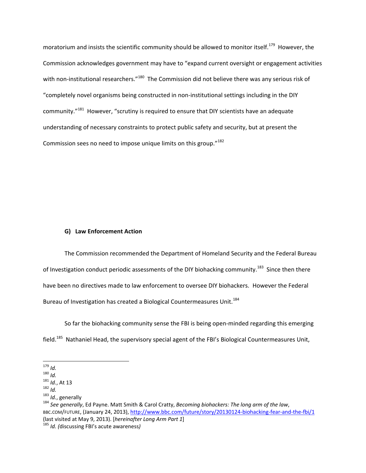moratorium and insists the scientific community should be allowed to monitor itself.<sup>179</sup> However, the Commission acknowledges government may have to "expand current oversight or engagement activities with non-institutional researchers."<sup>180</sup> The Commission did not believe there was any serious risk of "completely novel organisms being constructed in non-institutional settings including in the DIY community."<sup>181</sup> However, "scrutiny is required to ensure that DIY scientists have an adequate understanding of necessary constraints to protect public safety and security, but at present the Commission sees no need to impose unique limits on this group."<sup>182</sup>

# **G) Law Enforcement Action**

The Commission recommended the Department of Homeland Security and the Federal Bureau of Investigation conduct periodic assessments of the DIY biohacking community.<sup>183</sup> Since then there have been no directives made to law enforcement to oversee DIY biohackers. However the Federal Bureau of Investigation has created a Biological Countermeasures Unit.<sup>184</sup>

So far the biohacking community sense the FBI is being open-minded regarding this emerging field.<sup>185</sup> Nathaniel Head, the supervisory special agent of the FBI's Biological Countermeasures Unit,

 $\overline{\phantom{a}}$ <sup>179</sup> *Id.*

<sup>180</sup> *Id.*

<sup>181</sup> *Id.*, At 13

<sup>182</sup> *Id.*

<sup>183</sup> *Id.*, generally

<sup>184</sup> *See generally*, Ed Payne. Matt Smith & Carol Cratty, *Becoming biohackers: The long arm of the law*, BBC.COM/FUTURE, (January 24, 2013),<http://www.bbc.com/future/story/20130124-biohacking-fear-and-the-fbi/1> (last visited at May 9, 2013). [*hereinafter Long Arm Part 1*]

<sup>185</sup> *Id. (*discussing FBI's acute awareness*)*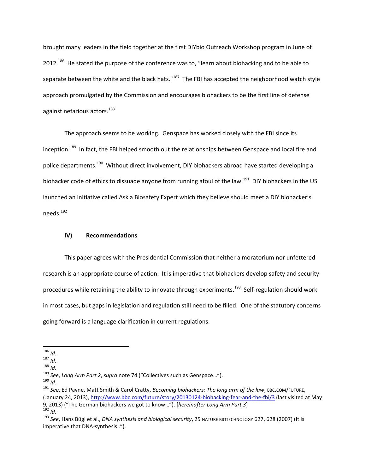brought many leaders in the field together at the first DIYbio Outreach Workshop program in June of 2012.<sup>186</sup> He stated the purpose of the conference was to, "learn about biohacking and to be able to separate between the white and the black hats."<sup>187</sup> The FBI has accepted the neighborhood watch style approach promulgated by the Commission and encourages biohackers to be the first line of defense against nefarious actors.<sup>188</sup>

The approach seems to be working. Genspace has worked closely with the FBI since its inception.<sup>189</sup> In fact, the FBI helped smooth out the relationships between Genspace and local fire and police departments.<sup>190</sup> Without direct involvement, DIY biohackers abroad have started developing a biohacker code of ethics to dissuade anyone from running afoul of the law.<sup>191</sup> DIY biohackers in the US launched an initiative called Ask a Biosafety Expert which they believe should meet a DIY biohacker's needs.<sup>192</sup>

#### **IV) Recommendations**

This paper agrees with the Presidential Commission that neither a moratorium nor unfettered research is an appropriate course of action. It is imperative that biohackers develop safety and security procedures while retaining the ability to innovate through experiments.<sup>193</sup> Self-regulation should work in most cases, but gaps in legislation and regulation still need to be filled. One of the statutory concerns going forward is a language clarification in current regulations.

<sup>190</sup> *Id.*

 $\overline{\phantom{a}}$ <sup>186</sup> *Id.*

 $187 \frac{187}{10}$ 

<sup>188</sup> *Id.*

<sup>189</sup> *See*, *Long Arm Part 2*, *supra* note 74 ("Collectives such as Genspace…").

<sup>191</sup> *See*, Ed Payne. Matt Smith & Carol Cratty, *Becoming biohackers: The long arm of the law*, BBC.COM/FUTURE, (January 24, 2013)[, http://www.bbc.com/future/story/20130124-biohacking-fear-and-the-fbi/3](http://www.bbc.com/future/story/20130124-biohacking-fear-and-the-fbi/3) (last visited at May 9, 2013) ("The German biohackers we got to know…"). [*hereinafter Long Arm Part 3*] <sup>192</sup> *Id.*

<sup>193</sup> *See*, Hans Bϋgl et al., *DNA synthesis and biological security*, 25 NATURE BIOTECHNOLOGY 627, 628 (2007) (It is imperative that DNA-synthesis..").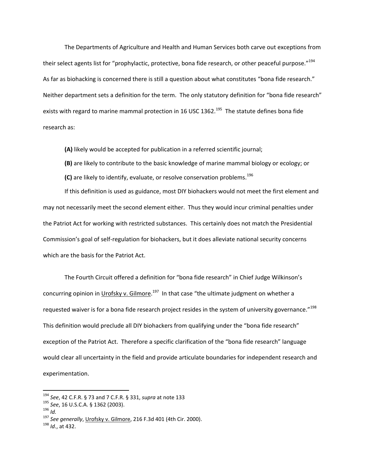The Departments of Agriculture and Health and Human Services both carve out exceptions from their select agents list for "prophylactic, protective, bona fide research, or other peaceful purpose."<sup>194</sup> As far as biohacking is concerned there is still a question about what constitutes "bona fide research." Neither department sets a definition for the term. The only statutory definition for "bona fide research" exists with regard to marine mammal protection in 16 USC 1362.<sup>195</sup> The statute defines bona fide research as:

**(A)** likely would be accepted for publication in a referred scientific journal;

**(B)** are likely to contribute to the basic knowledge of marine mammal biology or ecology; or

**(C)** are likely to identify, evaluate, or resolve conservation problems.<sup>196</sup>

If this definition is used as guidance, most DIY biohackers would not meet the first element and may not necessarily meet the second element either. Thus they would incur criminal penalties under the Patriot Act for working with restricted substances. This certainly does not match the Presidential Commission's goal of self-regulation for biohackers, but it does alleviate national security concerns which are the basis for the Patriot Act.

The Fourth Circuit offered a definition for "bona fide research" in Chief Judge Wilkinson's concurring opinion in Urofsky v. Gilmore.<sup>197</sup> In that case "the ultimate judgment on whether a requested waiver is for a bona fide research project resides in the system of university governance."<sup>198</sup> This definition would preclude all DIY biohackers from qualifying under the "bona fide research" exception of the Patriot Act. Therefore a specific clarification of the "bona fide research" language would clear all uncertainty in the field and provide articulate boundaries for independent research and experimentation.

<sup>194</sup> *See*, 42 C.F.R. § 73 and 7 C.F.R. § 331, *supra* at note 133

<sup>195</sup> *See*, 16 U.S.C.A. § 1362 (2003).

 $196$  *Id.* 

<sup>197</sup> *See generally*, Urofsky v. Gilmore, 216 F.3d 401 (4th Cir. 2000).

<sup>198</sup> *Id*., at 432.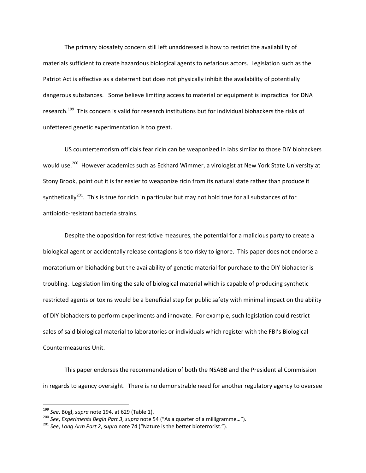The primary biosafety concern still left unaddressed is how to restrict the availability of materials sufficient to create hazardous biological agents to nefarious actors. Legislation such as the Patriot Act is effective as a deterrent but does not physically inhibit the availability of potentially dangerous substances. Some believe limiting access to material or equipment is impractical for DNA research.<sup>199</sup> This concern is valid for research institutions but for individual biohackers the risks of unfettered genetic experimentation is too great.

US counterterrorism officials fear ricin can be weaponized in labs similar to those DIY biohackers would use.<sup>200</sup> However academics such as Eckhard Wimmer, a virologist at New York State University at Stony Brook, point out it is far easier to weaponize ricin from its natural state rather than produce it synthetically<sup>201</sup>. This is true for ricin in particular but may not hold true for all substances of for antibiotic-resistant bacteria strains.

Despite the opposition for restrictive measures, the potential for a malicious party to create a biological agent or accidentally release contagions is too risky to ignore. This paper does not endorse a moratorium on biohacking but the availability of genetic material for purchase to the DIY biohacker is troubling. Legislation limiting the sale of biological material which is capable of producing synthetic restricted agents or toxins would be a beneficial step for public safety with minimal impact on the ability of DIY biohackers to perform experiments and innovate. For example, such legislation could restrict sales of said biological material to laboratories or individuals which register with the FBI's Biological Countermeasures Unit.

This paper endorses the recommendation of both the NSABB and the Presidential Commission in regards to agency oversight. There is no demonstrable need for another regulatory agency to oversee

<sup>199</sup> *See*, Bϋgl, *supra* note 194, at 629 (Table 1).

<sup>200</sup> *See*, *Experiments Begin Part 3*, *supra* note 54 ("As a quarter of a milligramme…").

<sup>201</sup> *See*, *Long Arm Part 2*, *supra* note 74 ("Nature is the better bioterrorist.").